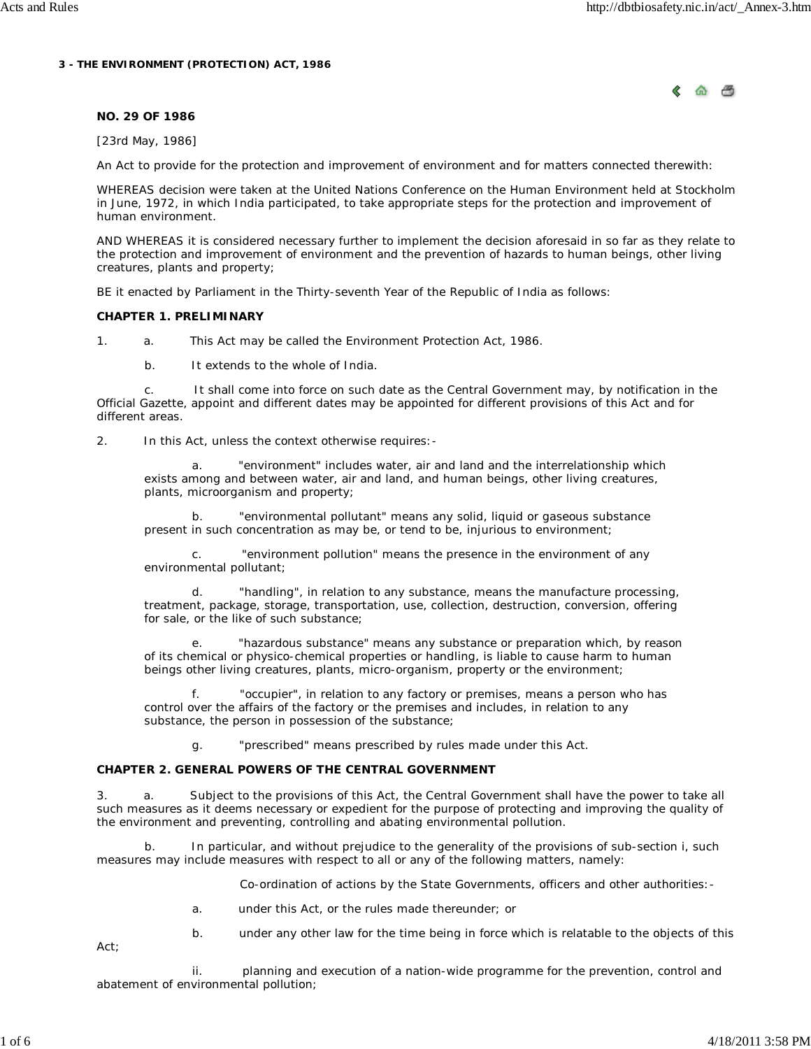#### **3 - THE ENVIRONMENT (PROTECTION) ACT, 1986**



### **NO. 29 OF 1986**

[23rd May, 1986]

An Act to provide for the protection and improvement of environment and for matters connected therewith:

WHEREAS decision were taken at the United Nations Conference on the Human Environment held at Stockholm in June, 1972, in which India participated, to take appropriate steps for the protection and improvement of human environment.

AND WHEREAS it is considered necessary further to implement the decision aforesaid in so far as they relate to the protection and improvement of environment and the prevention of hazards to human beings, other living creatures, plants and property;

BE it enacted by Parliament in the Thirty-seventh Year of the Republic of India as follows:

#### **CHAPTER 1. PRELIMINARY**

1. a. This Act may be called the Environment Protection Act, 1986.

b. It extends to the whole of India.

 c. It shall come into force on such date as the Central Government may, by notification in the Official Gazette, appoint and different dates may be appointed for different provisions of this Act and for different areas.

2. In this Act, unless the context otherwise requires:-

"environment" includes water, air and land and the interrelationship which exists among and between water, air and land, and human beings, other living creatures, plants, microorganism and property;

"environmental pollutant" means any solid, liquid or gaseous substance present in such concentration as may be, or tend to be, injurious to environment;

 c. "environment pollution" means the presence in the environment of any environmental pollutant;

 d. "handling", in relation to any substance, means the manufacture processing, treatment, package, storage, transportation, use, collection, destruction, conversion, offering for sale, or the like of such substance;

"hazardous substance" means any substance or preparation which, by reason of its chemical or physico-chemical properties or handling, is liable to cause harm to human beings other living creatures, plants, micro-organism, property or the environment;

"occupier", in relation to any factory or premises, means a person who has control over the affairs of the factory or the premises and includes, in relation to any substance, the person in possession of the substance;

g. "prescribed" means prescribed by rules made under this Act.

### **CHAPTER 2. GENERAL POWERS OF THE CENTRAL GOVERNMENT**

3. a. Subject to the provisions of this Act, the Central Government shall have the power to take all such measures as it deems necessary or expedient for the purpose of protecting and improving the quality of the environment and preventing, controlling and abating environmental pollution.

 b. In particular, and without prejudice to the generality of the provisions of sub-section i, such measures may include measures with respect to all or any of the following matters, namely:

Co-ordination of actions by the State Governments, officers and other authorities:-

- a. under this Act, or the rules made thereunder; or
- b. under any other law for the time being in force which is relatable to the objects of this

Act;

 ii. planning and execution of a nation-wide programme for the prevention, control and abatement of environmental pollution;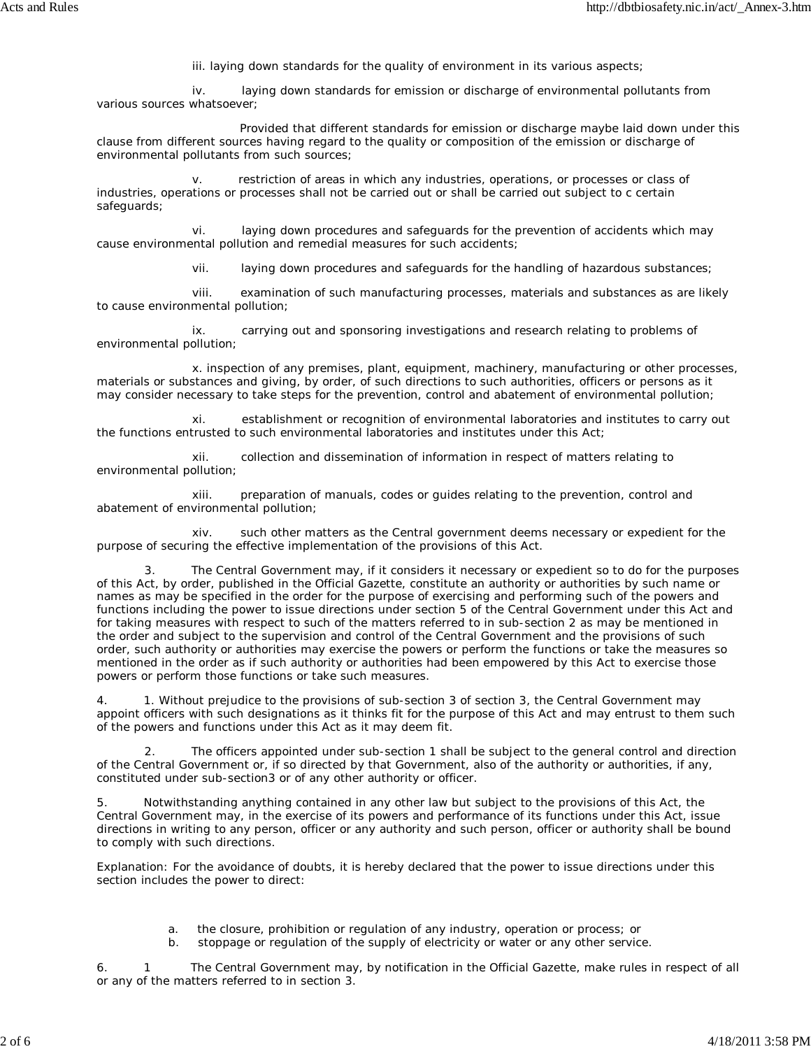iii. laying down standards for the quality of environment in its various aspects;

 iv. laying down standards for emission or discharge of environmental pollutants from various sources whatsoever;

 Provided that different standards for emission or discharge maybe laid down under this clause from different sources having regard to the quality or composition of the emission or discharge of environmental pollutants from such sources;

 v. restriction of areas in which any industries, operations, or processes or class of industries, operations or processes shall not be carried out or shall be carried out subject to c certain safeguards;

 vi. laying down procedures and safeguards for the prevention of accidents which may cause environmental pollution and remedial measures for such accidents;

vii. laying down procedures and safeguards for the handling of hazardous substances;

 viii. examination of such manufacturing processes, materials and substances as are likely to cause environmental pollution;

 ix. carrying out and sponsoring investigations and research relating to problems of environmental pollution;

 x. inspection of any premises, plant, equipment, machinery, manufacturing or other processes, materials or substances and giving, by order, of such directions to such authorities, officers or persons as it may consider necessary to take steps for the prevention, control and abatement of environmental pollution;

establishment or recognition of environmental laboratories and institutes to carry out the functions entrusted to such environmental laboratories and institutes under this Act;

 xii. collection and dissemination of information in respect of matters relating to environmental pollution;

 xiii. preparation of manuals, codes or guides relating to the prevention, control and abatement of environmental pollution;

 xiv. such other matters as the Central government deems necessary or expedient for the purpose of securing the effective implementation of the provisions of this Act.

The Central Government may, if it considers it necessary or expedient so to do for the purposes of this Act, by order, published in the Official Gazette, constitute an authority or authorities by such name or names as may be specified in the order for the purpose of exercising and performing such of the powers and functions including the power to issue directions under section 5 of the Central Government under this Act and for taking measures with respect to such of the matters referred to in sub-section 2 as may be mentioned in the order and subject to the supervision and control of the Central Government and the provisions of such order, such authority or authorities may exercise the powers or perform the functions or take the measures so mentioned in the order as if such authority or authorities had been empowered by this Act to exercise those powers or perform those functions or take such measures.

4. 1. Without prejudice to the provisions of sub-section 3 of section 3, the Central Government may appoint officers with such designations as it thinks fit for the purpose of this Act and may entrust to them such of the powers and functions under this Act as it may deem fit.

The officers appointed under sub-section 1 shall be subject to the general control and direction of the Central Government or, if so directed by that Government, also of the authority or authorities, if any, constituted under sub-section3 or of any other authority or officer.

5. Notwithstanding anything contained in any other law but subject to the provisions of this Act, the Central Government may, in the exercise of its powers and performance of its functions under this Act, issue directions in writing to any person, officer or any authority and such person, officer or authority shall be bound to comply with such directions.

Explanation: For the avoidance of doubts, it is hereby declared that the power to issue directions under this section includes the power to direct:

- a. the closure, prohibition or regulation of any industry, operation or process; or
- b. stoppage or regulation of the supply of electricity or water or any other service.

6. 1 The Central Government may, by notification in the Official Gazette, make rules in respect of all or any of the matters referred to in section 3.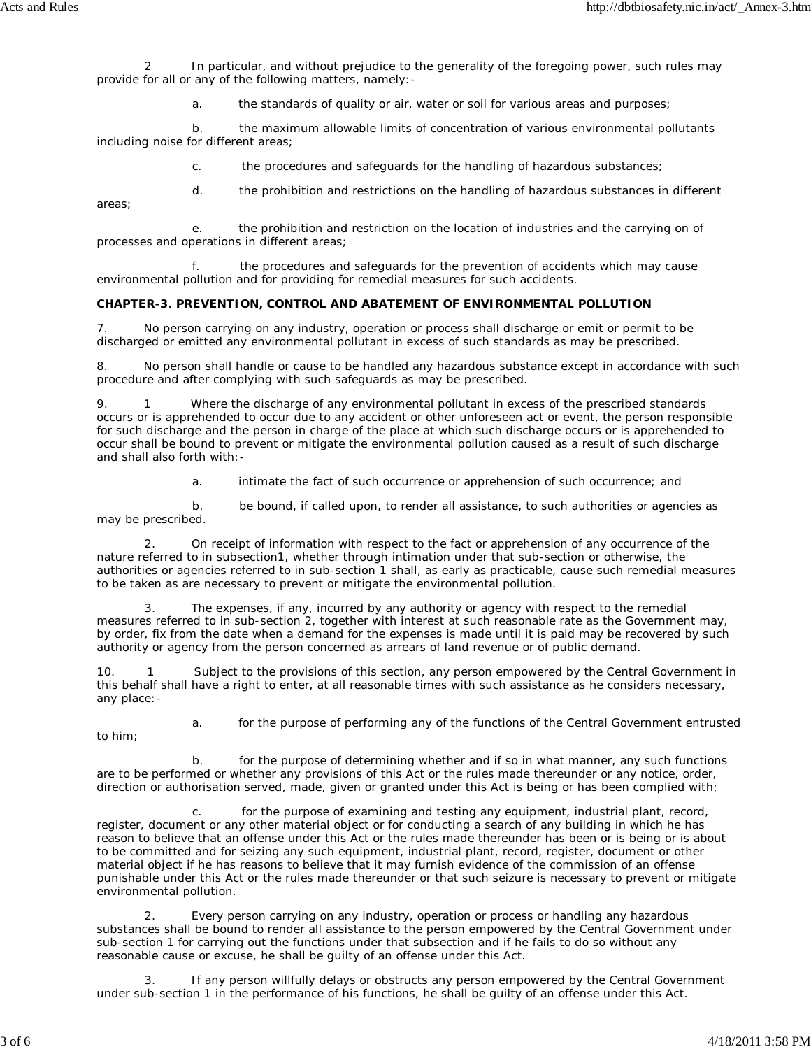In particular, and without prejudice to the generality of the foregoing power, such rules may provide for all or any of the following matters, namely:-

a. the standards of quality or air, water or soil for various areas and purposes;

 b. the maximum allowable limits of concentration of various environmental pollutants including noise for different areas;

c. the procedures and safeguards for the handling of hazardous substances;

d. the prohibition and restrictions on the handling of hazardous substances in different

 e. the prohibition and restriction on the location of industries and the carrying on of processes and operations in different areas;

 f. the procedures and safeguards for the prevention of accidents which may cause environmental pollution and for providing for remedial measures for such accidents.

# **CHAPTER-3. PREVENTION, CONTROL AND ABATEMENT OF ENVIRONMENTAL POLLUTION**

7. No person carrying on any industry, operation or process shall discharge or emit or permit to be discharged or emitted any environmental pollutant in excess of such standards as may be prescribed.

8. No person shall handle or cause to be handled any hazardous substance except in accordance with such procedure and after complying with such safeguards as may be prescribed.

9. 1 Where the discharge of any environmental pollutant in excess of the prescribed standards occurs or is apprehended to occur due to any accident or other unforeseen act or event, the person responsible for such discharge and the person in charge of the place at which such discharge occurs or is apprehended to occur shall be bound to prevent or mitigate the environmental pollution caused as a result of such discharge and shall also forth with:-

a. intimate the fact of such occurrence or apprehension of such occurrence; and

 b. be bound, if called upon, to render all assistance, to such authorities or agencies as may be prescribed.

 2. On receipt of information with respect to the fact or apprehension of any occurrence of the nature referred to in subsection1, whether through intimation under that sub-section or otherwise, the authorities or agencies referred to in sub-section 1 shall, as early as practicable, cause such remedial measures to be taken as are necessary to prevent or mitigate the environmental pollution.

The expenses, if any, incurred by any authority or agency with respect to the remedial measures referred to in sub-section 2, together with interest at such reasonable rate as the Government may, by order, fix from the date when a demand for the expenses is made until it is paid may be recovered by such authority or agency from the person concerned as arrears of land revenue or of public demand.

10. 1 Subject to the provisions of this section, any person empowered by the Central Government in this behalf shall have a right to enter, at all reasonable times with such assistance as he considers necessary, any place:-

to him;

areas;

a. for the purpose of performing any of the functions of the Central Government entrusted

 b. for the purpose of determining whether and if so in what manner, any such functions are to be performed or whether any provisions of this Act or the rules made thereunder or any notice, order, direction or authorisation served, made, given or granted under this Act is being or has been complied with;

 c. for the purpose of examining and testing any equipment, industrial plant, record, register, document or any other material object or for conducting a search of any building in which he has reason to believe that an offense under this Act or the rules made thereunder has been or is being or is about to be committed and for seizing any such equipment, industrial plant, record, register, document or other material object if he has reasons to believe that it may furnish evidence of the commission of an offense punishable under this Act or the rules made thereunder or that such seizure is necessary to prevent or mitigate environmental pollution.

 2. Every person carrying on any industry, operation or process or handling any hazardous substances shall be bound to render all assistance to the person empowered by the Central Government under sub-section 1 for carrying out the functions under that subsection and if he fails to do so without any reasonable cause or excuse, he shall be guilty of an offense under this Act.

 3. If any person willfully delays or obstructs any person empowered by the Central Government under sub-section 1 in the performance of his functions, he shall be guilty of an offense under this Act.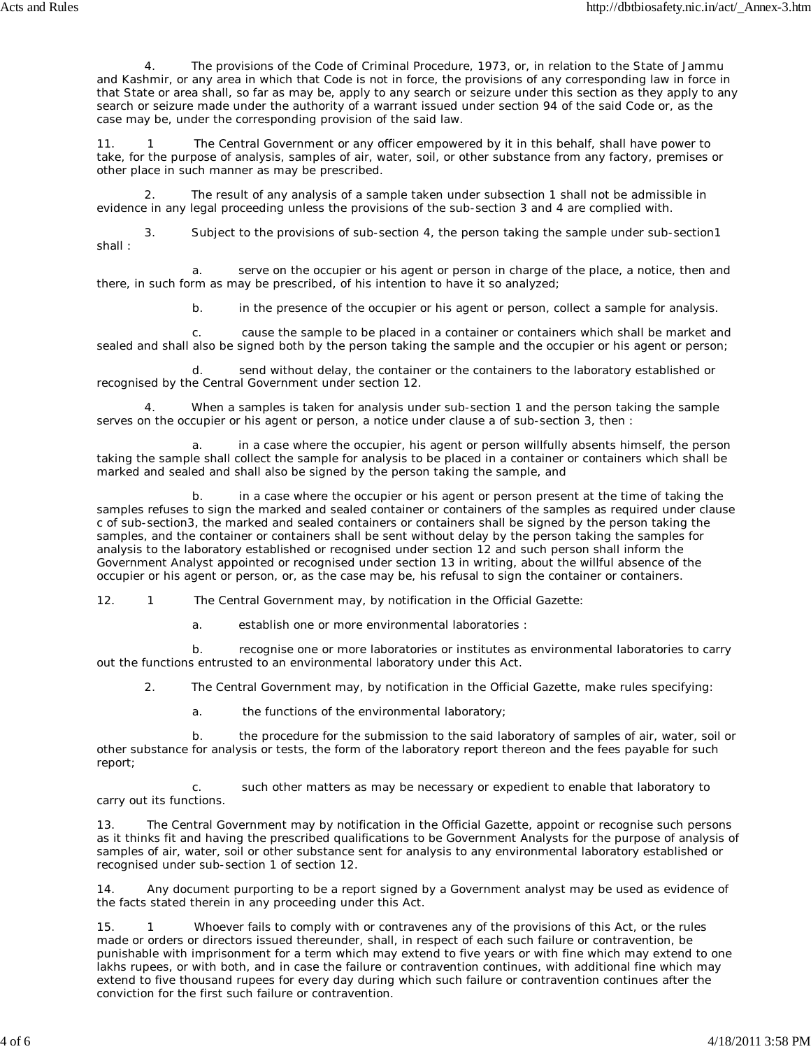The provisions of the Code of Criminal Procedure, 1973, or, in relation to the State of Jammu and Kashmir, or any area in which that Code is not in force, the provisions of any corresponding law in force in that State or area shall, so far as may be, apply to any search or seizure under this section as they apply to any search or seizure made under the authority of a warrant issued under section 94 of the said Code or, as the case may be, under the corresponding provision of the said law.

11. 1 The Central Government or any officer empowered by it in this behalf, shall have power to take, for the purpose of analysis, samples of air, water, soil, or other substance from any factory, premises or other place in such manner as may be prescribed.

The result of any analysis of a sample taken under subsection 1 shall not be admissible in evidence in any legal proceeding unless the provisions of the sub-section 3 and 4 are complied with.

 3. Subject to the provisions of sub-section 4, the person taking the sample under sub-section1 shall :

 a. serve on the occupier or his agent or person in charge of the place, a notice, then and there, in such form as may be prescribed, of his intention to have it so analyzed;

b. in the presence of the occupier or his agent or person, collect a sample for analysis.

 c. cause the sample to be placed in a container or containers which shall be market and sealed and shall also be signed both by the person taking the sample and the occupier or his agent or person;

 d. send without delay, the container or the containers to the laboratory established or recognised by the Central Government under section 12.

 4. When a samples is taken for analysis under sub-section 1 and the person taking the sample serves on the occupier or his agent or person, a notice under clause a of sub-section 3, then :

in a case where the occupier, his agent or person willfully absents himself, the person taking the sample shall collect the sample for analysis to be placed in a container or containers which shall be marked and sealed and shall also be signed by the person taking the sample, and

 b. in a case where the occupier or his agent or person present at the time of taking the samples refuses to sign the marked and sealed container or containers of the samples as required under clause c of sub-section3, the marked and sealed containers or containers shall be signed by the person taking the samples, and the container or containers shall be sent without delay by the person taking the samples for analysis to the laboratory established or recognised under section 12 and such person shall inform the Government Analyst appointed or recognised under section 13 in writing, about the willful absence of the occupier or his agent or person, or, as the case may be, his refusal to sign the container or containers.

12. 1 The Central Government may, by notification in the Official Gazette:

a. establish one or more environmental laboratories :

 b. recognise one or more laboratories or institutes as environmental laboratories to carry out the functions entrusted to an environmental laboratory under this Act.

2. The Central Government may, by notification in the Official Gazette, make rules specifying:

a. the functions of the environmental laboratory;

 b. the procedure for the submission to the said laboratory of samples of air, water, soil or other substance for analysis or tests, the form of the laboratory report thereon and the fees payable for such report;

 c. such other matters as may be necessary or expedient to enable that laboratory to carry out its functions.

13. The Central Government may by notification in the Official Gazette, appoint or recognise such persons as it thinks fit and having the prescribed qualifications to be Government Analysts for the purpose of analysis of samples of air, water, soil or other substance sent for analysis to any environmental laboratory established or recognised under sub-section 1 of section 12.

14. Any document purporting to be a report signed by a Government analyst may be used as evidence of the facts stated therein in any proceeding under this Act.

15. 1 Whoever fails to comply with or contravenes any of the provisions of this Act, or the rules made or orders or directors issued thereunder, shall, in respect of each such failure or contravention, be punishable with imprisonment for a term which may extend to five years or with fine which may extend to one lakhs rupees, or with both, and in case the failure or contravention continues, with additional fine which may extend to five thousand rupees for every day during which such failure or contravention continues after the conviction for the first such failure or contravention.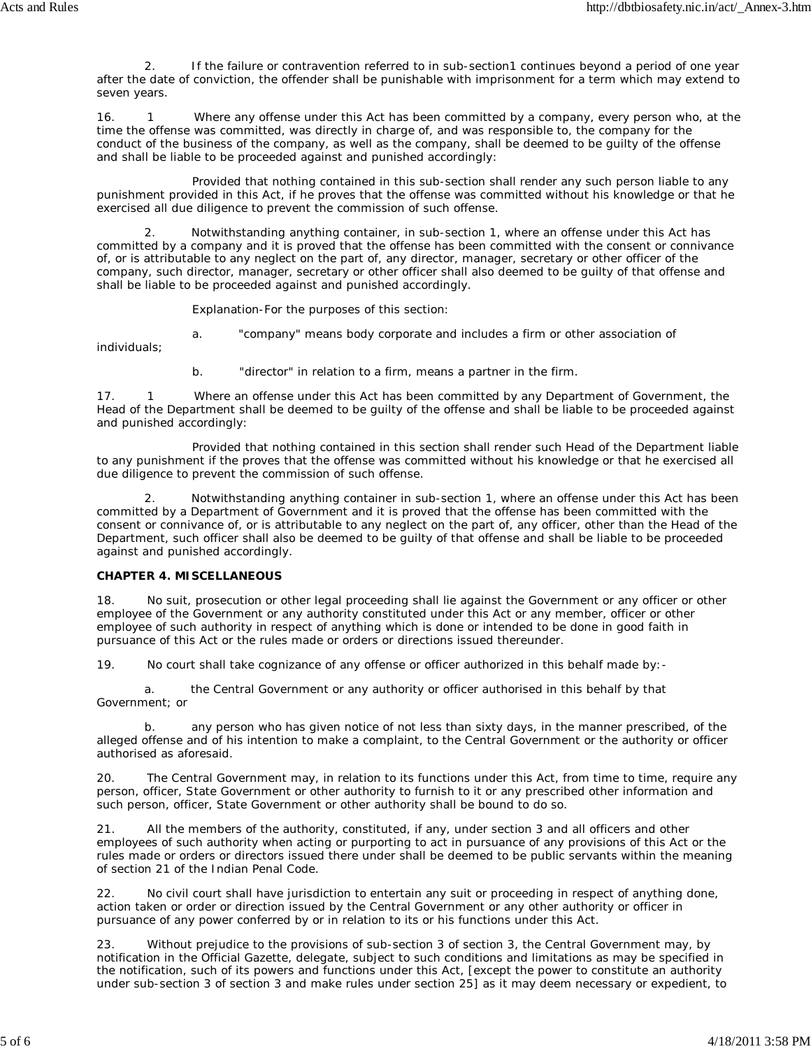2. If the failure or contravention referred to in sub-section1 continues beyond a period of one year after the date of conviction, the offender shall be punishable with imprisonment for a term which may extend to seven years.

16. 1 Where any offense under this Act has been committed by a company, every person who, at the time the offense was committed, was directly in charge of, and was responsible to, the company for the conduct of the business of the company, as well as the company, shall be deemed to be guilty of the offense and shall be liable to be proceeded against and punished accordingly:

 Provided that nothing contained in this sub-section shall render any such person liable to any punishment provided in this Act, if he proves that the offense was committed without his knowledge or that he exercised all due diligence to prevent the commission of such offense.

 2. Notwithstanding anything container, in sub-section 1, where an offense under this Act has committed by a company and it is proved that the offense has been committed with the consent or connivance of, or is attributable to any neglect on the part of, any director, manager, secretary or other officer of the company, such director, manager, secretary or other officer shall also deemed to be guilty of that offense and shall be liable to be proceeded against and punished accordingly.

Explanation-For the purposes of this section:

a. "company" means body corporate and includes a firm or other association of

individuals;

b. "director" in relation to a firm, means a partner in the firm.

17. 1 Where an offense under this Act has been committed by any Department of Government, the Head of the Department shall be deemed to be guilty of the offense and shall be liable to be proceeded against and punished accordingly:

 Provided that nothing contained in this section shall render such Head of the Department liable to any punishment if the proves that the offense was committed without his knowledge or that he exercised all due diligence to prevent the commission of such offense.

Notwithstanding anything container in sub-section 1, where an offense under this Act has been committed by a Department of Government and it is proved that the offense has been committed with the consent or connivance of, or is attributable to any neglect on the part of, any officer, other than the Head of the Department, such officer shall also be deemed to be guilty of that offense and shall be liable to be proceeded against and punished accordingly.

## **CHAPTER 4. MISCELLANEOUS**

18. No suit, prosecution or other legal proceeding shall lie against the Government or any officer or other employee of the Government or any authority constituted under this Act or any member, officer or other employee of such authority in respect of anything which is done or intended to be done in good faith in pursuance of this Act or the rules made or orders or directions issued thereunder.

19. No court shall take cognizance of any offense or officer authorized in this behalf made by:-

 a. the Central Government or any authority or officer authorised in this behalf by that Government; or

any person who has given notice of not less than sixty days, in the manner prescribed, of the alleged offense and of his intention to make a complaint, to the Central Government or the authority or officer authorised as aforesaid.

20. The Central Government may, in relation to its functions under this Act, from time to time, require any person, officer, State Government or other authority to furnish to it or any prescribed other information and such person, officer, State Government or other authority shall be bound to do so.

All the members of the authority, constituted, if any, under section 3 and all officers and other employees of such authority when acting or purporting to act in pursuance of any provisions of this Act or the rules made or orders or directors issued there under shall be deemed to be public servants within the meaning of section 21 of the Indian Penal Code.

22. No civil court shall have jurisdiction to entertain any suit or proceeding in respect of anything done, action taken or order or direction issued by the Central Government or any other authority or officer in pursuance of any power conferred by or in relation to its or his functions under this Act.

23. Without prejudice to the provisions of sub-section 3 of section 3, the Central Government may, by notification in the Official Gazette, delegate, subject to such conditions and limitations as may be specified in the notification, such of its powers and functions under this Act, [except the power to constitute an authority under sub-section 3 of section 3 and make rules under section 25] as it may deem necessary or expedient, to